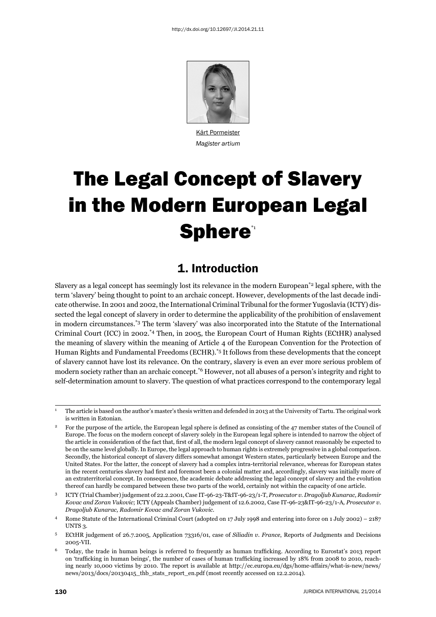

Kärt Pormeister *Magister artium*

# The Legal Concept of Slavery in the Modern European Legal **Sphere\***

### 1. Introduction

Slavery as a legal concept has seemingly lost its relevance in the modern European\*2 legal sphere, with the term 'slavery' being thought to point to an archaic concept. However, developments of the last decade indicate otherwise. In 2001 and 2002, the International Criminal Tribunal for the former Yugoslavia (ICTY) dissected the legal concept of slavery in order to determine the applicability of the prohibition of enslavement in modern circumstances.\*3 The term 'slavery' was also incorporated into the Statute of the International Criminal Court (ICC) in 2002.\*4 Then, in 2005, the European Court of Human Rights (ECtHR) analysed the meaning of slavery within the meaning of Article 4 of the European Convention for the Protection of Human Rights and Fundamental Freedoms (ECHR).\*5 It follows from these developments that the concept of slavery cannot have lost its relevance. On the contrary, slavery is even an ever more serious problem of modern society rather than an archaic concept.\*6 However, not all abuses of a person's integrity and right to self-determination amount to slavery. The question of what practices correspond to the contemporary legal

<sup>1</sup> The article is based on the author's master's thesis written and defended in 2013 at the University of Tartu. The original work is written in Estonian.

For the purpose of the article, the European legal sphere is defined as consisting of the 47 member states of the Council of Europe. The focus on the modern concept of slavery solely in the European legal sphere is intended to narrow the object of the article in consideration of the fact that, first of all, the modern legal concept of slavery cannot reasonably be expected to be on the same level globally. In Europe, the legal approach to human rights is extremely progressive in a global comparison. Secondly, the historical concept of slavery differs somewhat amongst Western states, particularly between Europe and the United States. For the latter, the concept of slavery had a complex intra-territorial relevance, whereas for European states in the recent centuries slavery had first and foremost been a colonial matter and, accordingly, slavery was initially more of an extraterritorial concept. In consequence, the academic debate addressing the legal concept of slavery and the evolution thereof can hardly be compared between these two parts of the world, certainly not within the capacity of one article.

<sup>3</sup> ICTY (Trial Chamber) judgement of 22.2.2001, Case IT-96-23-T&IT-96-23/1-T, *Prosecutor v. Dragoljub Kunarac, Radomir Kovac and Zoran Vukovic*; ICTY (Appeals Chamber) judgement of 12.6.2002, Case IT-96-23&IT-96-23/1-A*, Prosecutor v. Dragoljub Kunarac, Radomir Kovac and Zoran Vukovic*.

<sup>4</sup> Rome Statute of the International Criminal Court (adopted on 17 July 1998 and entering into force on 1 July 2002) – 2187 UNTS 3.

<sup>5</sup> ECtHR judgement of 26.7.2005, Application 73316/01, case of *Siliadin v. France*, Reports of Judgments and Decisions 2005-VII.

 $6$  Today, the trade in human beings is referred to frequently as human trafficking. According to Eurostat's 2013 report on 'trafficking in human beings', the number of cases of human trafficking increased by 18% from 2008 to 2010, reaching nearly 10,000 victims by 2010. The report is available at http://ec.europa.eu/dgs/home-affairs/what-is-new/news/ news/2013/docs/20130415\_thb\_stats\_report\_en.pdf (most recently accessed on 12.2.2014).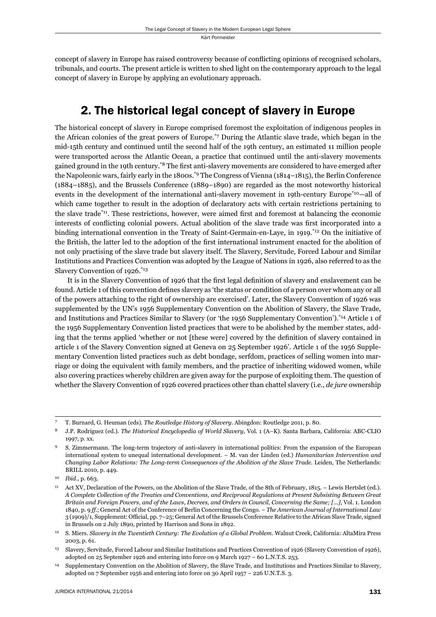concept of slavery in Europe has raised controversy because of conflicting opinions of recognised scholars, tribunals, and courts. The present article is written to shed light on the contemporary approach to the legal concept of slavery in Europe by applying an evolutionary approach.

## 2. The historical legal concept of slavery in Europe

The historical concept of slavery in Europe comprised foremost the exploitation of indigenous peoples in the African colonies of the great powers of Europe.\*7 During the Atlantic slave trade, which began in the mid-15th century and continued until the second half of the 19th century, an estimated 11 million people were transported across the Atlantic Ocean, a practice that continued until the anti-slavery movements gained ground in the 19th century.<sup>\*8</sup> The first anti-slavery movements are considered to have emerged after the Napoleonic wars, fairly early in the 1800s.\*9 The Congress of Vienna (1814–1815), the Berlin Conference (1884–1885), and the Brussels Conference (1889–1890) are regarded as the most noteworthy historical events in the development of the international anti-slavery movement in 19th-century Europe<sup>\*10</sup>—all of which came together to result in the adoption of declaratory acts with certain restrictions pertaining to the slave trade<sup>\*11</sup>. These restrictions, however, were aimed first and foremost at balancing the economic interests of conflicting colonial powers. Actual abolition of the slave trade was first incorporated into a binding international convention in the Treaty of Saint-Germain-en-Laye, in 1919.\*12 On the initiative of the British, the latter led to the adoption of the first international instrument enacted for the abolition of not only practising of the slave trade but slavery itself. The Slavery, Servitude, Forced Labour and Similar Institutions and Practices Convention was adopted by the League of Nations in 1926, also referred to as the Slavery Convention of 1926.\*13

It is in the Slavery Convention of 1926 that the first legal definition of slavery and enslavement can be found. Article 1 of this convention defines slavery as 'the status or condition of a person over whom any or all of the powers attaching to the right of ownership are exercised'. Later, the Slavery Convention of 1926 was supplemented by the UN's 1956 Supplementary Convention on the Abolition of Slavery, the Slave Trade, and Institutions and Practices Similar to Slavery (or 'the 1956 Supplementary Convention').\*14 Article 1 of the 1956 Supplementary Convention listed practices that were to be abolished by the member states, adding that the terms applied 'whether or not [these were] covered by the definition of slavery contained in article 1 of the Slavery Convention signed at Geneva on 25 September 1926'. Article 1 of the 1956 Supplementary Convention listed practices such as debt bondage, serfdom, practices of selling women into marriage or doing the equivalent with family members, and the practice of inheriting widowed women, while also covering practices whereby children are given away for the purpose of exploiting them. The question of whether the Slavery Convention of 1926 covered practices other than chattel slavery (i.e., *de jure* ownership

<sup>7</sup> T. Burnard, G. Heuman (eds). *The Routledge History of Slavery*. Abingdon: Routledge 2011, p. 80.

<sup>8</sup> J.P. Rodriguez (ed.). *The Historical Encyclopedia of World Slavery*, Vol. 1 (A–K). Santa Barbara, California: ABC-CLIO 1997, p. xx.

<sup>9</sup> S. Zimmermann. The long-term trajectory of anti-slavery in international politics: From the expansion of the European international system to unequal international development. – M. van der Linden (ed.) *Humanitarian Intervention and Changing Labor Relations: The Long-term Consequences of the Abolition of the Slave Trade*. Leiden, The Netherlands: BRILL 2010, p. 449.

<sup>10</sup> *Ibid*., p. 663.

<sup>11</sup> Act XV, Declaration of the Powers, on the Abolition of the Slave Trade, of the 8th of February, 1815. – Lewis Hertslet (ed.). *A Complete Collection of the Treaties and Conventions, and Reciprocal Regulations at Present Subsisting Between Great Britain and Foreign Powers, and of the Laws, Decrees, and Orders in Council, Concerning the Same; [...]*, Vol. 1. London 1840, p. 9 *ff.*; General Act of the Conference of Berlin Concerning the Congo. – *The American Journal of International Law* 3 (1909)/1, Supplement: Official, pp. 7–25; General Act of the Brussels Conference Relative to the African Slave Trade, signed in Brussels on 2 July 1890, printed by Harrison and Sons in 1892.

<sup>12</sup> S. Miers. *Slavery in the Twentieth Century: The Evolution of a Global Problem*. Walnut Creek, California: AltaMira Press 2003, p. 61.

<sup>13</sup> Slavery, Servitude, Forced Labour and Similar Institutions and Practices Convention of 1926 (Slavery Convention of 1926), adopted on 25 September 1926 and entering into force on 9 March 1927 – 60 L.N.T.S. 253.

<sup>14</sup> Supplementary Convention on the Abolition of Slavery, the Slave Trade, and Institutions and Practices Similar to Slavery, adopted on 7 September 1956 and entering into force on 30 April 1957 – 226 U.N.T.S. 3.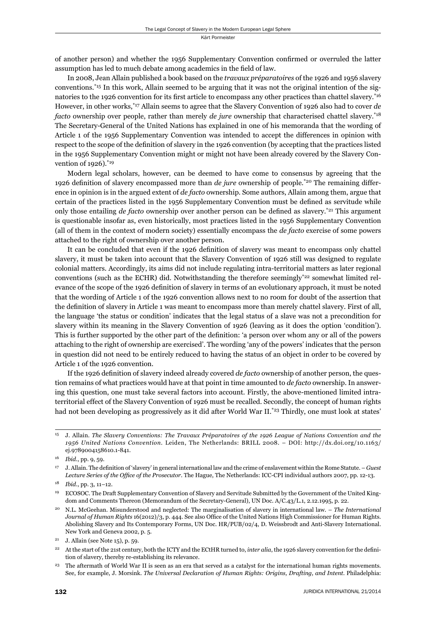of another person) and whether the 1956 Supplementary Convention confirmed or overruled the latter assumption has led to much debate among academics in the field of law.

In 2008, Jean Allain published a book based on the *travaux préparatoires* of the 1926 and 1956 slavery conventions.\*15 In this work, Allain seemed to be arguing that it was not the original intention of the signatories to the 1926 convention for its first article to encompass any other practices than chattel slavery.<sup>\*16</sup> However, in other works,\*17 Allain seems to agree that the Slavery Convention of 1926 also had to cover *de facto* ownership over people, rather than merely *de jure* ownership that characterised chattel slavery.\*18 The Secretary-General of the United Nations has explained in one of his memoranda that the wording of Article 1 of the 1956 Supplementary Convention was intended to accept the differences in opinion with respect to the scope of the definition of slavery in the 1926 convention (by accepting that the practices listed in the 1956 Supplementary Convention might or might not have been already covered by the Slavery Convention of 1926).<sup>\*19</sup>

Modern legal scholars, however, can be deemed to have come to consensus by agreeing that the 1926 defi nition of slavery encompassed more than *de jure* ownership of people.\*20 The remaining difference in opinion is in the argued extent of *de facto* ownership. Some authors, Allain among them, argue that certain of the practices listed in the 1956 Supplementary Convention must be defined as servitude while only those entailing *de facto* ownership over another person can be defined as slavery.<sup>\*21</sup> This argument is questionable insofar as, even historically, most practices listed in the 1956 Supplementary Convention (all of them in the context of modern society) essentially encompass the *de facto* exercise of some powers attached to the right of ownership over another person.

It can be concluded that even if the 1926 definition of slavery was meant to encompass only chattel slavery, it must be taken into account that the Slavery Convention of 1926 still was designed to regulate colonial matters. Accordingly, its aims did not include regulating intra-territorial matters as later regional conventions (such as the ECHR) did. Notwithstanding the therefore seemingly<sup>\*22</sup> somewhat limited relevance of the scope of the 1926 definition of slavery in terms of an evolutionary approach, it must be noted that the wording of Article 1 of the 1926 convention allows next to no room for doubt of the assertion that the definition of slavery in Article 1 was meant to encompass more than merely chattel slavery. First of all, the language 'the status or condition' indicates that the legal status of a slave was not a precondition for slavery within its meaning in the Slavery Convention of 1926 (leaving as it does the option 'condition'). This is further supported by the other part of the definition: 'a person over whom any or all of the powers attaching to the right of ownership are exercised'. The wording 'any of the powers' indicates that the person in question did not need to be entirely reduced to having the status of an object in order to be covered by Article 1 of the 1926 convention.

If the 1926 definition of slavery indeed already covered *de facto* ownership of another person, the question remains of what practices would have at that point in time amounted to *de facto* ownership. In answering this question, one must take several factors into account. Firstly, the above-mentioned limited intraterritorial effect of the Slavery Convention of 1926 must be recalled. Secondly, the concept of human rights had not been developing as progressively as it did after World War II.<sup>\*23</sup> Thirdly, one must look at states'

<sup>15</sup> J. Allain. *The Slavery Conventions: The Travaux Préparatoires of the 1926 League of Nations Convention and the 1956 United Nations Convention*. Leiden, The Netherlands: BRILL 2008. – DOI: http://dx.doi.org/10.1163/ ej.9789004158610.1-841.

<sup>16</sup> *Ibid.*, pp. 9, 59.

<sup>&</sup>lt;sup>17</sup> J. Allain. The definition of 'slavery' in general international law and the crime of enslavement within the Rome Statute. – *Guest* Lecture Series of the Office of the Prosecutor. The Hague, The Netherlands: ICC-CPI individual authors 2007, pp. 12-13.

<sup>18</sup> *Ibid*., pp. 3, 11–12.

<sup>19</sup> ECOSOC. The Draft Supplementary Convention of Slavery and Servitude Submitted by the Government of the United Kingdom and Comments Thereon (Memorandum of the Secretary-General), UN Doc. A/C.43/L.1, 2.12.1995, p. 22.

<sup>20</sup> N.L. McGeehan. Misunderstood and neglected: The marginalisation of slavery in international law. – *The International Journal of Human Rights* 16(2012)/3, p. 444. See also Office of the United Nations High Commissioner for Human Rights. Abolishing Slavery and Its Contemporary Forms, UN Doc. HR/PUB/02/4, D. Weissbrodt and Anti-Slavery International. New York and Geneva 2002, p. 5.

<sup>&</sup>lt;sup>21</sup> J. Allain (see Note 15), p. 59.

<sup>&</sup>lt;sup>22</sup> At the start of the 21st century, both the ICTY and the ECtHR turned to, *inter alia*, the 1926 slavery convention for the definition of slavery, thereby re-establishing its relevance.

<sup>23</sup> The aftermath of World War II is seen as an era that served as a catalyst for the international human rights movements. See, for example, J. Morsink. *The Universal Declaration of Human Rights: Origins, Drafting, and Intent*. Philadelphia: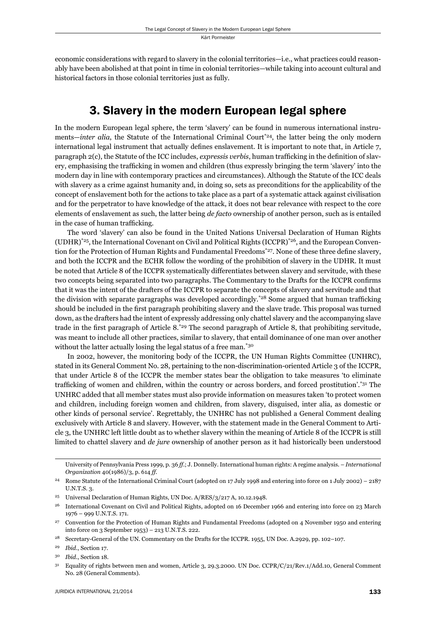economic considerations with regard to slavery in the colonial territories—i.e., what practices could reasonably have been abolished at that point in time in colonial territories—while taking into account cultural and historical factors in those colonial territories just as fully.

### 3. Slavery in the modern European legal sphere

In the modern European legal sphere, the term 'slavery' can be found in numerous international instruments—*inter alia*, the Statute of the International Criminal Court<sup>\*24</sup>, the latter being the only modern international legal instrument that actually defines enslavement. It is important to note that, in Article 7, paragraph 2(c), the Statute of the ICC includes, *expressis verbis*, human trafficking in the definition of slavery, emphasising the trafficking in women and children (thus expressly bringing the term 'slavery' into the modern day in line with contemporary practices and circumstances). Although the Statute of the ICC deals with slavery as a crime against humanity and, in doing so, sets as preconditions for the applicability of the concept of enslavement both for the actions to take place as a part of a systematic attack against civilisation and for the perpetrator to have knowledge of the attack, it does not bear relevance with respect to the core elements of enslavement as such, the latter being *de facto* ownership of another person, such as is entailed in the case of human trafficking.

The word 'slavery' can also be found in the United Nations Universal Declaration of Human Rights  $(UDHR)^*^{25}$ , the International Covenant on Civil and Political Rights  $(ICCPR)^*^{26}$ , and the European Convention for the Protection of Human Rights and Fundamental Freedoms\*27. None of these three define slavery, and both the ICCPR and the ECHR follow the wording of the prohibition of slavery in the UDHR. It must be noted that Article 8 of the ICCPR systematically differentiates between slavery and servitude, with these two concepts being separated into two paragraphs. The Commentary to the Drafts for the ICCPR confirms that it was the intent of the drafters of the ICCPR to separate the concepts of slavery and servitude and that the division with separate paragraphs was developed accordingly.<sup>\*28</sup> Some argued that human trafficking should be included in the first paragraph prohibiting slavery and the slave trade. This proposal was turned down, as the drafters had the intent of expressly addressing only chattel slavery and the accompanying slave trade in the first paragraph of Article 8.<sup>\*29</sup> The second paragraph of Article 8, that prohibiting servitude, was meant to include all other practices, similar to slavery, that entail dominance of one man over another without the latter actually losing the legal status of a free man.<sup>\*30</sup>

In 2002, however, the monitoring body of the ICCPR, the UN Human Rights Committee (UNHRC), stated in its General Comment No. 28, pertaining to the non-discrimination-oriented Article 3 of the ICCPR, that under Article 8 of the ICCPR the member states bear the obligation to take measures 'to eliminate trafficking of women and children, within the country or across borders, and forced prostitution'.\*31 The UNHRC added that all member states must also provide information on measures taken 'to protect women and children, including foreign women and children, from slavery, disguised, inter alia, as domestic or other kinds of personal service'. Regrettably, the UNHRC has not published a General Comment dealing exclusively with Article 8 and slavery. However, with the statement made in the General Comment to Article 3, the UNHRC left little doubt as to whether slavery within the meaning of Article 8 of the ICCPR is still limited to chattel slavery and *de jure* ownership of another person as it had historically been understood

University of Pennsylvania Press 1999, p. 36 *ff.*; J. Donnelly. International human rights: A regime analysis. – *International Organization* 40(1986)/3, p. 614 *ff*.

<sup>&</sup>lt;sup>24</sup> Rome Statute of the International Criminal Court (adopted on 17 July 1998 and entering into force on 1 July 2002) – 2187 U.N.T.S. 3.

<sup>25</sup> Universal Declaration of Human Rights, UN Doc. A/RES/3/217 A, 10.12.1948.

<sup>26</sup> International Covenant on Civil and Political Rights, adopted on 16 December 1966 and entering into force on 23 March 1976 – 999 U.N.T.S. 171.

<sup>27</sup> Convention for the Protection of Human Rights and Fundamental Freedoms (adopted on 4 November 1950 and entering into force on 3 September 1953) – 213 U.N.T.S. 222.

<sup>&</sup>lt;sup>28</sup> Secretary-General of the UN. Commentary on the Drafts for the ICCPR. 1955, UN Doc. A.2929, pp. 102–107.

<sup>29</sup> *Ibid*., Section 17.

<sup>30</sup> *Ibid*., Section 18.

<sup>31</sup> Equality of rights between men and women, Article 3, 29.3.2000. UN Doc. CCPR/C/21/Rev.1/Add.10, General Comment No. 28 (General Comments).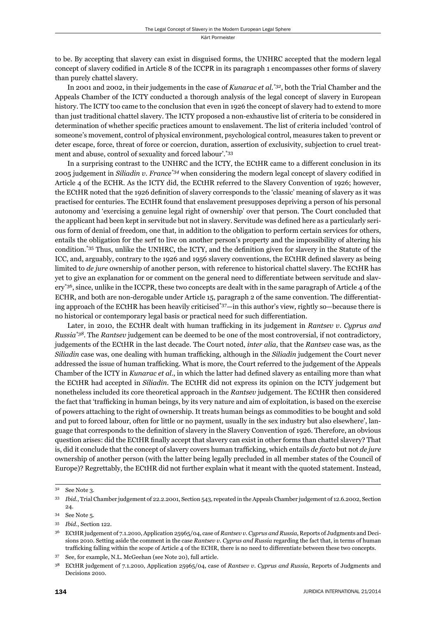to be. By accepting that slavery can exist in disguised forms, the UNHRC accepted that the modern legal concept of slavery codified in Article 8 of the ICCPR in its paragraph 1 encompasses other forms of slavery than purely chattel slavery.

In 2001 and 2002, in their judgements in the case of *Kunarac et al*. *\*32*, both the Trial Chamber and the Appeals Chamber of the ICTY conducted a thorough analysis of the legal concept of slavery in European history. The ICTY too came to the conclusion that even in 1926 the concept of slavery had to extend to more than just traditional chattel slavery. The ICTY proposed a non-exhaustive list of criteria to be considered in determination of whether specific practices amount to enslavement. The list of criteria included 'control of someone's movement, control of physical environment, psychological control, measures taken to prevent or deter escape, force, threat of force or coercion, duration, assertion of exclusivity, subjection to cruel treatment and abuse, control of sexuality and forced labour'.\*33

In a surprising contrast to the UNHRC and the ICTY, the ECtHR came to a different conclusion in its 2005 judgement in *Siliadin v. France*<sup>\*34</sup> when considering the modern legal concept of slavery codified in Article 4 of the ECHR. As the ICTY did, the ECtHR referred to the Slavery Convention of 1926; however, the ECtHR noted that the 1926 definition of slavery corresponds to the 'classic' meaning of slavery as it was practised for centuries. The ECtHR found that enslavement presupposes depriving a person of his personal autonomy and 'exercising a genuine legal right of ownership' over that person. The Court concluded that the applicant had been kept in servitude but not in slavery. Servitude was defined here as a particularly serious form of denial of freedom, one that, in addition to the obligation to perform certain services for others, entails the obligation for the serf to live on another person's property and the impossibility of altering his condition.<sup>\*35</sup> Thus, unlike the UNHRC, the ICTY, and the definition given for slavery in the Statute of the ICC, and, arguably, contrary to the 1926 and 1956 slavery conventions, the ECtHR defined slavery as being limited to *de jure* ownership of another person, with reference to historical chattel slavery. The ECtHR has yet to give an explanation for or comment on the general need to differentiate between servitude and slavery\*36, since, unlike in the ICCPR, these two concepts are dealt with in the same paragraph of Article 4 of the ECHR, and both are non-derogable under Article 15, paragraph 2 of the same convention. The differentiating approach of the ECtHR has been heavily criticised\*37—in this author's view, rightly so—because there is no historical or contemporary legal basis or practical need for such differentiation.

Later, in 2010, the ECtHR dealt with human trafficking in its judgement in *Rantsev v. Cyprus and Russia\*38*. The *Rantsev* judgement can be deemed to be one of the most controversial, if not contradictory, judgements of the ECtHR in the last decade. The Court noted, *inter alia*, that the *Rantsev* case was, as the *Siliadin* case was, one dealing with human trafficking, although in the *Siliadin* judgement the Court never addressed the issue of human trafficking. What is more, the Court referred to the judgement of the Appeals Chamber of the ICTY in *Kunarac et al.*, in which the latter had defined slavery as entailing more than what the ECtHR had accepted in *Siliadin*. The ECtHR did not express its opinion on the ICTY judgement but nonetheless included its core theoretical approach in the *Rantsev* judgement. The ECtHR then considered the fact that 'trafficking in human beings, by its very nature and aim of exploitation, is based on the exercise of powers attaching to the right of ownership. It treats human beings as commodities to be bought and sold and put to forced labour, often for little or no payment, usually in the sex industry but also elsewhere', language that corresponds to the definition of slavery in the Slavery Convention of 1926. Therefore, an obvious question arises: did the ECtHR finally accept that slavery can exist in other forms than chattel slavery? That is, did it conclude that the concept of slavery covers human trafficking, which entails *de facto* but not *de jure* ownership of another person (with the latter being legally precluded in all member states of the Council of Europe)? Regrettably, the ECtHR did not further explain what it meant with the quoted statement. Instead,

<sup>32</sup> See Note 3.

<sup>33</sup> *Ibid*., Trial Chamber judgement of 22.2.2001, Section 543, repeated in the Appeals Chamber judgement of 12.6.2002, Section 24.

<sup>34</sup> See Note 5.

<sup>35</sup> *Ibid*., Section 122.

<sup>36</sup> ECtHR judgement of 7.1.2010, Application 25965/04, case of *Rantsev v. Cyprus and Russia*, Reports of Judgments and Decisions 2010. Setting aside the comment in the case *Rantsev v. Cyprus and Russia* regarding the fact that, in terms of human trafficking falling within the scope of Article 4 of the ECHR, there is no need to differentiate between these two concepts.

<sup>37</sup> See, for example, N.L. McGeehan (see Note 20), full article.

<sup>38</sup> ECtHR judgement of 7.1.2010, Application 25965/04, case of *Rantsev v. Cyprus and Russia*, Reports of Judgments and Decisions 2010.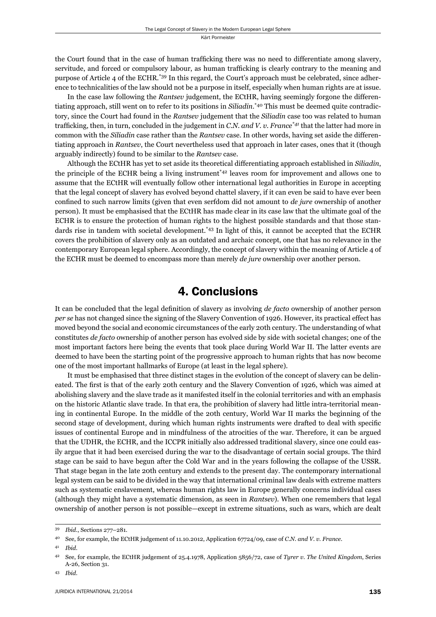the Court found that in the case of human trafficking there was no need to differentiate among slavery, servitude, and forced or compulsory labour, as human trafficking is clearly contrary to the meaning and purpose of Article 4 of the ECHR.\*39 In this regard, the Court's approach must be celebrated, since adherence to technicalities of the law should not be a purpose in itself, especially when human rights are at issue.

In the case law following the *Rantsev* judgement, the ECtHR, having seemingly forgone the differentiating approach, still went on to refer to its positions in *Siliadin*. \*40 This must be deemed quite contradictory, since the Court had found in the *Rantsev* judgement that the *Siliadin* case too was related to human trafficking, then, in turn, concluded in the judgement in *C.N. and V. v. France*<sup>\*41</sup> that the latter had more in common with the *Siliadin* case rather than the *Rantsev* case. In other words, having set aside the differentiating approach in *Rantsev*, the Court nevertheless used that approach in later cases, ones that it (though arguably indirectly) found to be similar to the *Rantsev* case.

Although the ECtHR has yet to set aside its theoretical differentiating approach established in *Siliadin*, the principle of the ECHR being a living instrument\*42 leaves room for improvement and allows one to assume that the ECtHR will eventually follow other international legal authorities in Europe in accepting that the legal concept of slavery has evolved beyond chattel slavery, if it can even be said to have ever been confined to such narrow limits (given that even serfdom did not amount to *de jure* ownership of another person). It must be emphasised that the ECtHR has made clear in its case law that the ultimate goal of the ECHR is to ensure the protection of human rights to the highest possible standards and that those standards rise in tandem with societal development.<sup>\*43</sup> In light of this, it cannot be accepted that the ECHR covers the prohibition of slavery only as an outdated and archaic concept, one that has no relevance in the contemporary European legal sphere. Accordingly, the concept of slavery within the meaning of Article 4 of the ECHR must be deemed to encompass more than merely *de jure* ownership over another person.

### 4. Conclusions

It can be concluded that the legal definition of slavery as involving *de facto* ownership of another person *per se* has not changed since the signing of the Slavery Convention of 1926. However, its practical effect has moved beyond the social and economic circumstances of the early 20th century. The understanding of what constitutes *de facto* ownership of another person has evolved side by side with societal changes; one of the most important factors here being the events that took place during World War II. The latter events are deemed to have been the starting point of the progressive approach to human rights that has now become one of the most important hallmarks of Europe (at least in the legal sphere).

It must be emphasised that three distinct stages in the evolution of the concept of slavery can be delineated. The first is that of the early 20th century and the Slavery Convention of 1926, which was aimed at abolishing slavery and the slave trade as it manifested itself in the colonial territories and with an emphasis on the historic Atlantic slave trade. In that era, the prohibition of slavery had little intra-territorial meaning in continental Europe. In the middle of the 20th century, World War II marks the beginning of the second stage of development, during which human rights instruments were drafted to deal with specific issues of continental Europe and in mindfulness of the atrocities of the war. Therefore, it can be argued that the UDHR, the ECHR, and the ICCPR initially also addressed traditional slavery, since one could easily argue that it had been exercised during the war to the disadvantage of certain social groups. The third stage can be said to have begun after the Cold War and in the years following the collapse of the USSR. That stage began in the late 20th century and extends to the present day. The contemporary international legal system can be said to be divided in the way that international criminal law deals with extreme matters such as systematic enslavement, whereas human rights law in Europe generally concerns individual cases (although they might have a systematic dimension, as seen in *Rantsev*). When one remembers that legal ownership of another person is not possible—except in extreme situations, such as wars, which are dealt

<sup>39</sup> *Ibid*., Sections 277–281.

<sup>40</sup> See, for example, the ECtHR judgement of 11.10.2012, Application 67724/09, case of *C.N. and V. v. France*.

<sup>41</sup> *Ibid*.

<sup>42</sup> See, for example, the ECtHR judgement of 25.4.1978, Application 5856/72, case of *Tyrer v. The United Kingdom*, Series A-26, Section 31.

<sup>43</sup> *Ibid*.